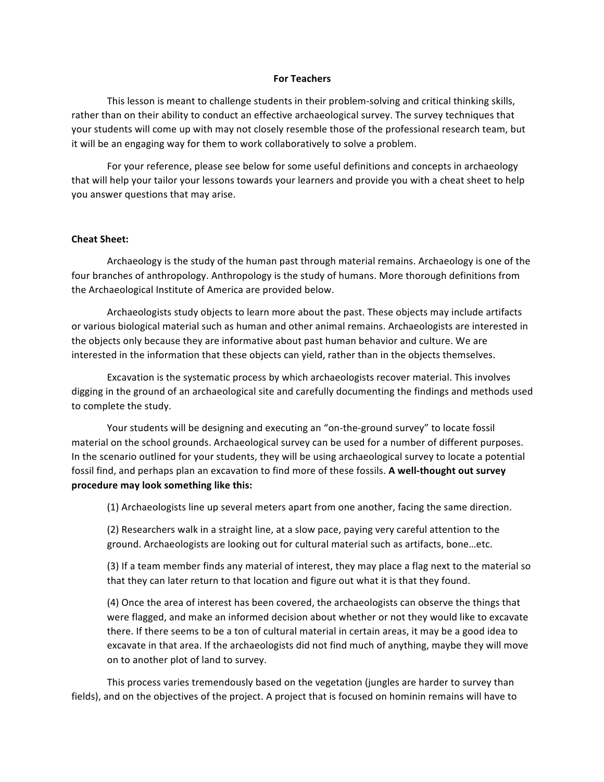## **For Teachers**

This lesson is meant to challenge students in their problem-solving and critical thinking skills, rather than on their ability to conduct an effective archaeological survey. The survey techniques that your students will come up with may not closely resemble those of the professional research team, but it will be an engaging way for them to work collaboratively to solve a problem.

For your reference, please see below for some useful definitions and concepts in archaeology that will help your tailor your lessons towards your learners and provide you with a cheat sheet to help you answer questions that may arise.

## **Cheat Sheet:**

Archaeology is the study of the human past through material remains. Archaeology is one of the four branches of anthropology. Anthropology is the study of humans. More thorough definitions from the Archaeological Institute of America are provided below.

Archaeologists study objects to learn more about the past. These objects may include artifacts or various biological material such as human and other animal remains. Archaeologists are interested in the objects only because they are informative about past human behavior and culture. We are interested in the information that these objects can yield, rather than in the objects themselves.

Excavation is the systematic process by which archaeologists recover material. This involves digging in the ground of an archaeological site and carefully documenting the findings and methods used to complete the study.

Your students will be designing and executing an "on-the-ground survey" to locate fossil material on the school grounds. Archaeological survey can be used for a number of different purposes. In the scenario outlined for your students, they will be using archaeological survey to locate a potential fossil find, and perhaps plan an excavation to find more of these fossils. A well-thought out survey procedure may look something like this:

(1) Archaeologists line up several meters apart from one another, facing the same direction.

(2) Researchers walk in a straight line, at a slow pace, paying very careful attention to the ground. Archaeologists are looking out for cultural material such as artifacts, bone...etc.

(3) If a team member finds any material of interest, they may place a flag next to the material so that they can later return to that location and figure out what it is that they found.

(4) Once the area of interest has been covered, the archaeologists can observe the things that were flagged, and make an informed decision about whether or not they would like to excavate there. If there seems to be a ton of cultural material in certain areas, it may be a good idea to excavate in that area. If the archaeologists did not find much of anything, maybe they will move on to another plot of land to survey.

This process varies tremendously based on the vegetation (jungles are harder to survey than fields), and on the objectives of the project. A project that is focused on hominin remains will have to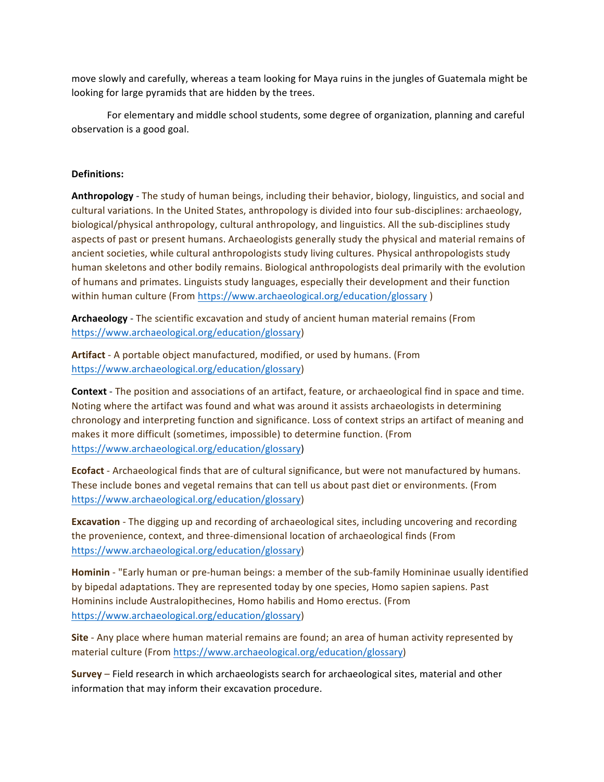move slowly and carefully, whereas a team looking for Maya ruins in the jungles of Guatemala might be looking for large pyramids that are hidden by the trees.

For elementary and middle school students, some degree of organization, planning and careful observation is a good goal.

## **Definitions:**

**Anthropology** - The study of human beings, including their behavior, biology, linguistics, and social and cultural variations. In the United States, anthropology is divided into four sub-disciplines: archaeology, biological/physical anthropology, cultural anthropology, and linguistics. All the sub-disciplines study aspects of past or present humans. Archaeologists generally study the physical and material remains of ancient societies, while cultural anthropologists study living cultures. Physical anthropologists study human skeletons and other bodily remains. Biological anthropologists deal primarily with the evolution of humans and primates. Linguists study languages, especially their development and their function within human culture (From https://www.archaeological.org/education/glossary)

**Archaeology** - The scientific excavation and study of ancient human material remains (From https://www.archaeological.org/education/glossary) 

Artifact - A portable object manufactured, modified, or used by humans. (From https://www.archaeological.org/education/glossary)

**Context** - The position and associations of an artifact, feature, or archaeological find in space and time. Noting where the artifact was found and what was around it assists archaeologists in determining chronology and interpreting function and significance. Loss of context strips an artifact of meaning and makes it more difficult (sometimes, impossible) to determine function. (From https://www.archaeological.org/education/glossary)

**Ecofact** - Archaeological finds that are of cultural significance, but were not manufactured by humans. These include bones and vegetal remains that can tell us about past diet or environments. (From https://www.archaeological.org/education/glossary)

**Excavation** - The digging up and recording of archaeological sites, including uncovering and recording the provenience, context, and three-dimensional location of archaeological finds (From https://www.archaeological.org/education/glossary)

**Hominin** - "Early human or pre-human beings: a member of the sub-family Homininae usually identified by bipedal adaptations. They are represented today by one species, Homo sapien sapiens. Past Hominins include Australopithecines, Homo habilis and Homo erectus. (From https://www.archaeological.org/education/glossary)

**Site** - Any place where human material remains are found; an area of human activity represented by material culture (From https://www.archaeological.org/education/glossary)

**Survey** – Field research in which archaeologists search for archaeological sites, material and other information that may inform their excavation procedure.